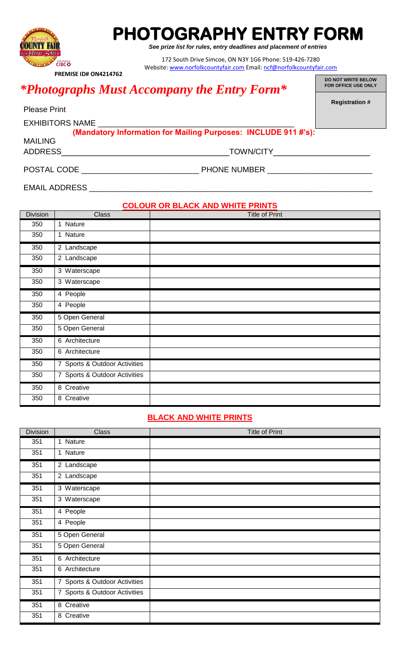

# **PHOTOGRAPHY ENTRY FORM**

*See prize list for rules, entry deadlines and placement of entries*

172 South Drive Simcoe, ON N3Y 1G6 Phone: 519-426-7280 Website[: www.norfolkcountyfair.com](http://www.norfolkcountyfair.com/) Email[: ncf@norfolkcountyfair.com](mailto:ncf@norfolkcountyfair.com)

 **PREMISE ID# ON4214762**

## **FOR OFFICE USE ONLY** *\*Photographs Must Accompany the Entry Form\**

**DO NOT WRITE BELOW**

**Registration #**

| <b>Please Print</b>    |                                                                |
|------------------------|----------------------------------------------------------------|
| <b>EXHIBITORS NAME</b> |                                                                |
|                        | (Mandatory Information for Mailing Purposes: INCLUDE 911 #'s): |
| <b>MAILING</b>         |                                                                |
| <b>ADDRESS</b>         | <b>TOWN/CITY</b>                                               |
|                        |                                                                |
| POSTAL CODE            | <b>PHONE NUMBER</b>                                            |

EMAIL ADDRESS \_\_\_\_\_\_\_\_\_\_\_

#### **COLOUR OR BLACK AND WHITE PRINTS**

| <b>Division</b> | Class                         | Title of Print |
|-----------------|-------------------------------|----------------|
| 350             | 1 Nature                      |                |
| 350             | 1 Nature                      |                |
| 350             | 2 Landscape                   |                |
| 350             | 2 Landscape                   |                |
| 350             | 3 Waterscape                  |                |
| 350             | 3 Waterscape                  |                |
| 350             | 4 People                      |                |
| 350             | 4 People                      |                |
| 350             | 5 Open General                |                |
| 350             | 5 Open General                |                |
| 350             | 6 Architecture                |                |
| 350             | 6 Architecture                |                |
| 350             | 7 Sports & Outdoor Activities |                |
| 350             | 7 Sports & Outdoor Activities |                |
| 350             | 8 Creative                    |                |
| 350             | 8 Creative                    |                |

#### **BLACK AND WHITE PRINTS**

| <b>Division</b> | Class                         | <b>Title of Print</b> |
|-----------------|-------------------------------|-----------------------|
| 351             | 1 Nature                      |                       |
| 351             | 1 Nature                      |                       |
| 351             | 2 Landscape                   |                       |
| 351             | 2 Landscape                   |                       |
| 351             | 3 Waterscape                  |                       |
| 351             | 3 Waterscape                  |                       |
| 351             | 4 People                      |                       |
| 351             | 4 People                      |                       |
| 351             | 5 Open General                |                       |
| 351             | 5 Open General                |                       |
| 351             | 6 Architecture                |                       |
| 351             | 6 Architecture                |                       |
| 351             | 7 Sports & Outdoor Activities |                       |
| 351             | 7 Sports & Outdoor Activities |                       |
| 351             | 8 Creative                    |                       |
| 351             | 8 Creative                    |                       |